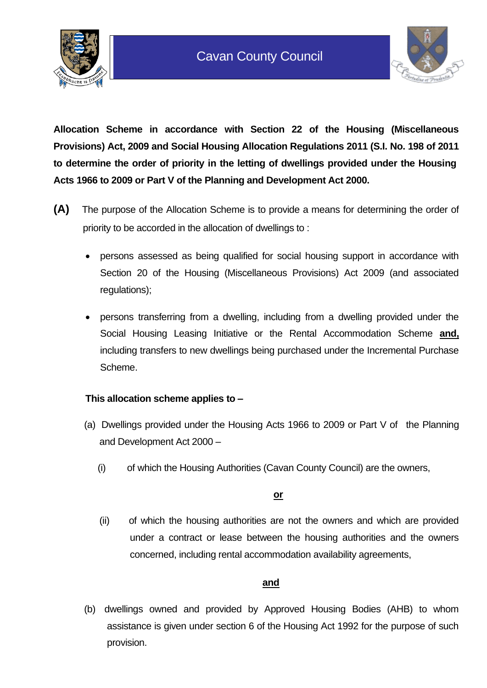



**Allocation Scheme in accordance with Section 22 of the Housing (Miscellaneous Provisions) Act, 2009 and Social Housing Allocation Regulations 2011 (S.I. No. 198 of 2011 to determine the order of priority in the letting of dwellings provided under the Housing Acts 1966 to 2009 or Part V of the Planning and Development Act 2000.** 

- **(A)** The purpose of the Allocation Scheme is to provide a means for determining the order of priority to be accorded in the allocation of dwellings to :
	- persons assessed as being qualified for social housing support in accordance with Section 20 of the Housing (Miscellaneous Provisions) Act 2009 (and associated regulations);
	- persons transferring from a dwelling, including from a dwelling provided under the Social Housing Leasing Initiative or the Rental Accommodation Scheme **and,** including transfers to new dwellings being purchased under the Incremental Purchase Scheme.

### **This allocation scheme applies to –**

- (a) Dwellings provided under the Housing Acts 1966 to 2009 or Part V of the Planning and Development Act 2000 –
	- (i) of which the Housing Authorities (Cavan County Council) are the owners,

#### **or**

(ii) of which the housing authorities are not the owners and which are provided under a contract or lease between the housing authorities and the owners concerned, including rental accommodation availability agreements,

### **and**

(b) dwellings owned and provided by Approved Housing Bodies (AHB) to whom assistance is given under section 6 of the Housing Act 1992 for the purpose of such provision.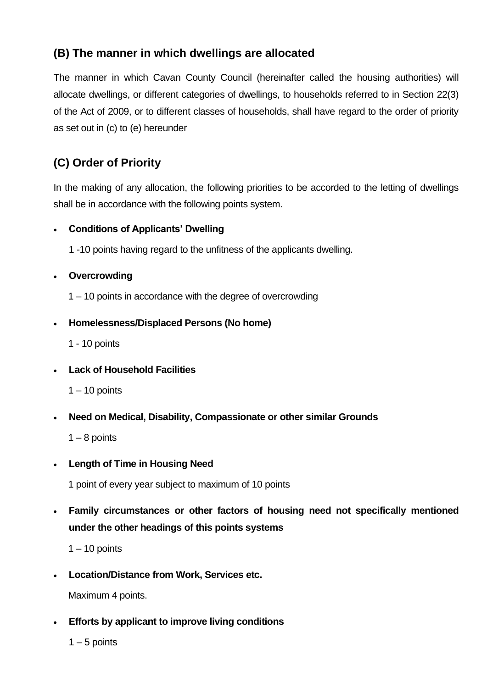# **(B) The manner in which dwellings are allocated**

The manner in which Cavan County Council (hereinafter called the housing authorities) will allocate dwellings, or different categories of dwellings, to households referred to in Section 22(3) of the Act of 2009, or to different classes of households, shall have regard to the order of priority as set out in (c) to (e) hereunder

# **(C) Order of Priority**

In the making of any allocation, the following priorities to be accorded to the letting of dwellings shall be in accordance with the following points system.

### • **Conditions of Applicants' Dwelling**

1 -10 points having regard to the unfitness of the applicants dwelling.

### • **Overcrowding**

1 – 10 points in accordance with the degree of overcrowding

### • **Homelessness/Displaced Persons (No home)**

1 - 10 points

### • **Lack of Household Facilities**

 $1 - 10$  points

• **Need on Medical, Disability, Compassionate or other similar Grounds**

 $1 - 8$  points

• **Length of Time in Housing Need**

1 point of every year subject to maximum of 10 points

• **Family circumstances or other factors of housing need not specifically mentioned under the other headings of this points systems**

 $1 - 10$  points

• **Location/Distance from Work, Services etc.**

Maximum 4 points.

• **Efforts by applicant to improve living conditions**

 $1 - 5$  points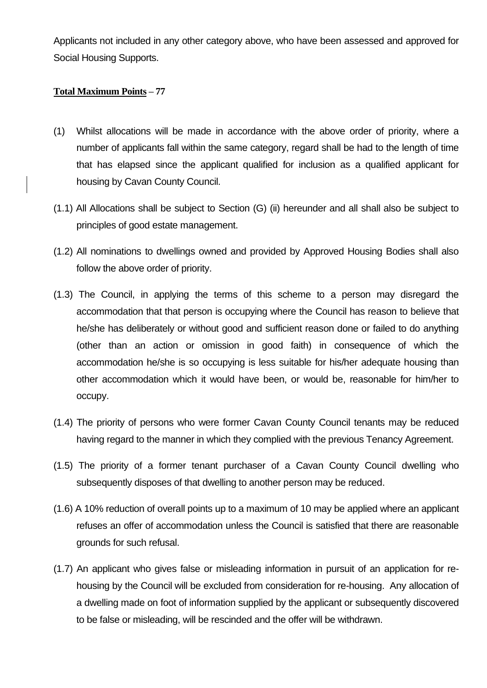Applicants not included in any other category above, who have been assessed and approved for Social Housing Supports.

#### **Total Maximum Points – 77**

- (1) Whilst allocations will be made in accordance with the above order of priority, where a number of applicants fall within the same category, regard shall be had to the length of time that has elapsed since the applicant qualified for inclusion as a qualified applicant for housing by Cavan County Council.
- (1.1) All Allocations shall be subject to Section (G) (ii) hereunder and all shall also be subject to principles of good estate management.
- (1.2) All nominations to dwellings owned and provided by Approved Housing Bodies shall also follow the above order of priority.
- (1.3) The Council, in applying the terms of this scheme to a person may disregard the accommodation that that person is occupying where the Council has reason to believe that he/she has deliberately or without good and sufficient reason done or failed to do anything (other than an action or omission in good faith) in consequence of which the accommodation he/she is so occupying is less suitable for his/her adequate housing than other accommodation which it would have been, or would be, reasonable for him/her to occupy.
- (1.4) The priority of persons who were former Cavan County Council tenants may be reduced having regard to the manner in which they complied with the previous Tenancy Agreement.
- (1.5) The priority of a former tenant purchaser of a Cavan County Council dwelling who subsequently disposes of that dwelling to another person may be reduced.
- (1.6) A 10% reduction of overall points up to a maximum of 10 may be applied where an applicant refuses an offer of accommodation unless the Council is satisfied that there are reasonable grounds for such refusal.
- (1.7) An applicant who gives false or misleading information in pursuit of an application for rehousing by the Council will be excluded from consideration for re-housing. Any allocation of a dwelling made on foot of information supplied by the applicant or subsequently discovered to be false or misleading, will be rescinded and the offer will be withdrawn.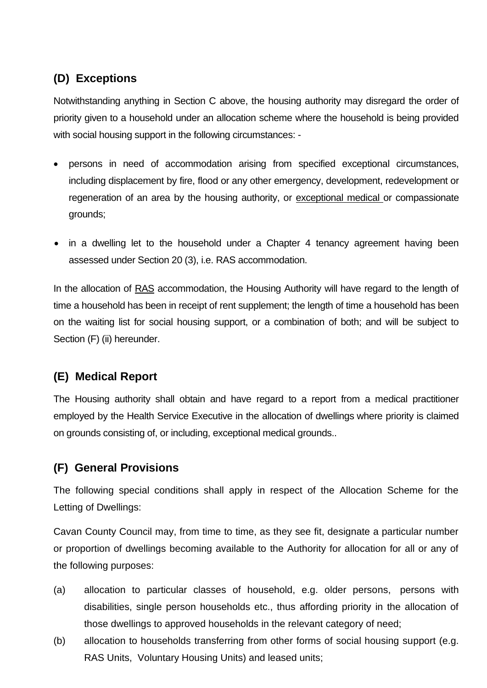# **(D) Exceptions**

Notwithstanding anything in Section C above, the housing authority may disregard the order of priority given to a household under an allocation scheme where the household is being provided with social housing support in the following circumstances: -

- persons in need of accommodation arising from specified exceptional circumstances, including displacement by fire, flood or any other emergency, development, redevelopment or regeneration of an area by the housing authority, or exceptional medical or compassionate grounds;
- in a dwelling let to the household under a Chapter 4 tenancy agreement having been assessed under Section 20 (3), i.e. RAS accommodation.

In the allocation of RAS accommodation, the Housing Authority will have regard to the length of time a household has been in receipt of rent supplement; the length of time a household has been on the waiting list for social housing support, or a combination of both; and will be subject to Section (F) (ii) hereunder.

# **(E) Medical Report**

The Housing authority shall obtain and have regard to a report from a medical practitioner employed by the Health Service Executive in the allocation of dwellings where priority is claimed on grounds consisting of, or including, exceptional medical grounds..

# **(F) General Provisions**

The following special conditions shall apply in respect of the Allocation Scheme for the Letting of Dwellings:

Cavan County Council may, from time to time, as they see fit, designate a particular number or proportion of dwellings becoming available to the Authority for allocation for all or any of the following purposes:

- (a) allocation to particular classes of household, e.g. older persons, persons with disabilities, single person households etc., thus affording priority in the allocation of those dwellings to approved households in the relevant category of need;
- (b) allocation to households transferring from other forms of social housing support (e.g. RAS Units, Voluntary Housing Units) and leased units;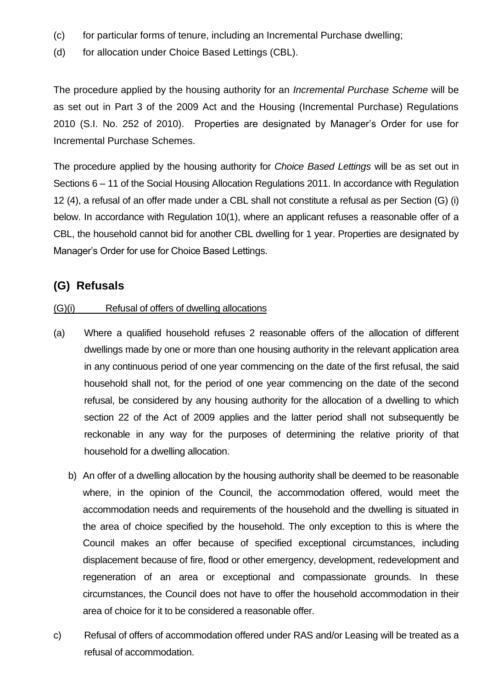- (c) for particular forms of tenure, including an Incremental Purchase dwelling;
- (d) for allocation under Choice Based Lettings (CBL).

The procedure applied by the housing authority for an *Incremental Purchase Scheme* will be as set out in Part 3 of the 2009 Act and the Housing (Incremental Purchase) Regulations 2010 (S.I. No. 252 of 2010). Properties are designated by Manager's Order for use for Incremental Purchase Schemes.

The procedure applied by the housing authority for *Choice Based Lettings* will be as set out in Sections 6 – 11 of the Social Housing Allocation Regulations 2011. In accordance with Regulation 12 (4), a refusal of an offer made under a CBL shall not constitute a refusal as per Section (G) (i) below. In accordance with Regulation 10(1), where an applicant refuses a reasonable offer of a CBL, the household cannot bid for another CBL dwelling for 1 year. Properties are designated by Manager's Order for use for Choice Based Lettings.

### **(G) Refusals**

#### (G)(i) Refusal of offers of dwelling allocations

- (a) Where a qualified household refuses 2 reasonable offers of the allocation of different dwellings made by one or more than one housing authority in the relevant application area in any continuous period of one year commencing on the date of the first refusal, the said household shall not, for the period of one year commencing on the date of the second refusal, be considered by any housing authority for the allocation of a dwelling to which section 22 of the Act of 2009 applies and the latter period shall not subsequently be reckonable in any way for the purposes of determining the relative priority of that household for a dwelling allocation.
	- b) An offer of a dwelling allocation by the housing authority shall be deemed to be reasonable where, in the opinion of the Council, the accommodation offered, would meet the accommodation needs and requirements of the household and the dwelling is situated in the area of choice specified by the household. The only exception to this is where the Council makes an offer because of specified exceptional circumstances, including displacement because of fire, flood or other emergency, development, redevelopment and regeneration of an area or exceptional and compassionate grounds. In these circumstances, the Council does not have to offer the household accommodation in their area of choice for it to be considered a reasonable offer.
- c) Refusal of offers of accommodation offered under RAS and/or Leasing will be treated as a refusal of accommodation.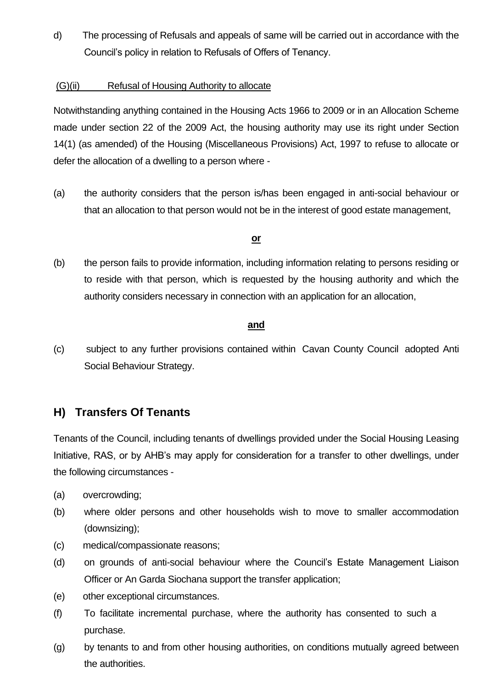d) The processing of Refusals and appeals of same will be carried out in accordance with the Council's policy in relation to Refusals of Offers of Tenancy.

#### (G)(ii) Refusal of Housing Authority to allocate

Notwithstanding anything contained in the Housing Acts 1966 to 2009 or in an Allocation Scheme made under section 22 of the 2009 Act, the housing authority may use its right under Section 14(1) (as amended) of the Housing (Miscellaneous Provisions) Act, 1997 to refuse to allocate or defer the allocation of a dwelling to a person where -

(a) the authority considers that the person is/has been engaged in anti-social behaviour or that an allocation to that person would not be in the interest of good estate management,

#### **or**

(b) the person fails to provide information, including information relating to persons residing or to reside with that person, which is requested by the housing authority and which the authority considers necessary in connection with an application for an allocation,

#### **and**

(c) subject to any further provisions contained within Cavan County Council adopted Anti Social Behaviour Strategy.

## **H) Transfers Of Tenants**

Tenants of the Council, including tenants of dwellings provided under the Social Housing Leasing Initiative, RAS, or by AHB's may apply for consideration for a transfer to other dwellings, under the following circumstances -

- (a) overcrowding;
- (b) where older persons and other households wish to move to smaller accommodation (downsizing);
- (c) medical/compassionate reasons;
- (d) on grounds of anti-social behaviour where the Council's Estate Management Liaison Officer or An Garda Siochana support the transfer application;
- (e) other exceptional circumstances.
- (f) To facilitate incremental purchase, where the authority has consented to such a purchase.
- (g) by tenants to and from other housing authorities, on conditions mutually agreed between the authorities.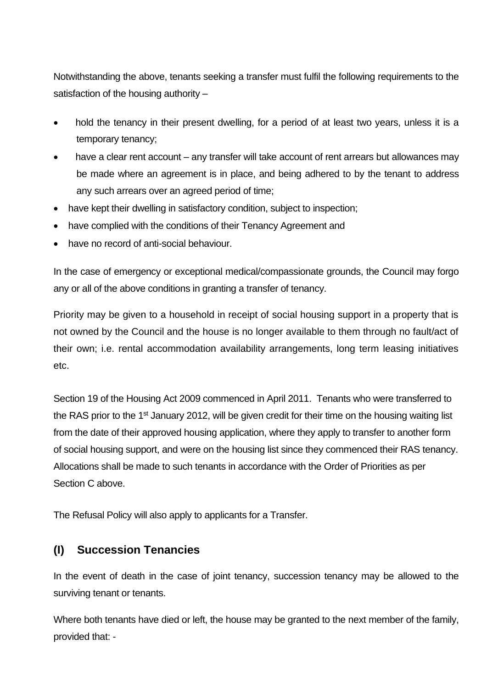Notwithstanding the above, tenants seeking a transfer must fulfil the following requirements to the satisfaction of the housing authority –

- hold the tenancy in their present dwelling, for a period of at least two years, unless it is a temporary tenancy;
- have a clear rent account any transfer will take account of rent arrears but allowances may be made where an agreement is in place, and being adhered to by the tenant to address any such arrears over an agreed period of time;
- have kept their dwelling in satisfactory condition, subject to inspection;
- have complied with the conditions of their Tenancy Agreement and
- have no record of anti-social behaviour.

In the case of emergency or exceptional medical/compassionate grounds, the Council may forgo any or all of the above conditions in granting a transfer of tenancy.

Priority may be given to a household in receipt of social housing support in a property that is not owned by the Council and the house is no longer available to them through no fault/act of their own; i.e. rental accommodation availability arrangements, long term leasing initiatives etc.

Section 19 of the Housing Act 2009 commenced in April 2011. Tenants who were transferred to the RAS prior to the 1<sup>st</sup> January 2012, will be given credit for their time on the housing waiting list from the date of their approved housing application, where they apply to transfer to another form of social housing support, and were on the housing list since they commenced their RAS tenancy. Allocations shall be made to such tenants in accordance with the Order of Priorities as per Section C above.

The Refusal Policy will also apply to applicants for a Transfer.

## **(I) Succession Tenancies**

In the event of death in the case of joint tenancy, succession tenancy may be allowed to the surviving tenant or tenants.

Where both tenants have died or left, the house may be granted to the next member of the family, provided that: -